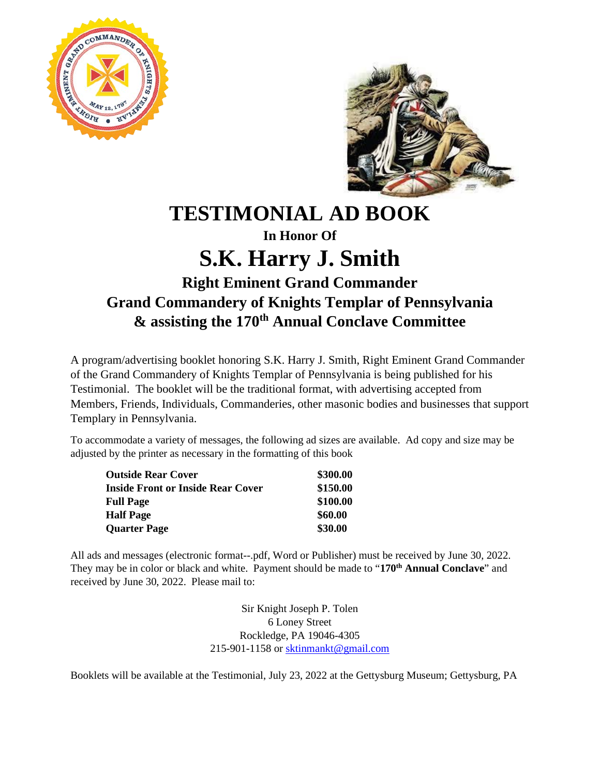



## **TESTIMONIAL AD BOOK**

## **In Honor Of S.K. Harry J. Smith**

## **Right Eminent Grand Commander Grand Commandery of Knights Templar of Pennsylvania & assisting the 170th Annual Conclave Committee**

A program/advertising booklet honoring S.K. Harry J. Smith, Right Eminent Grand Commander of the Grand Commandery of Knights Templar of Pennsylvania is being published for his Testimonial. The booklet will be the traditional format, with advertising accepted from Members, Friends, Individuals, Commanderies, other masonic bodies and businesses that support Templary in Pennsylvania.

To accommodate a variety of messages, the following ad sizes are available. Ad copy and size may be adjusted by the printer as necessary in the formatting of this book

| <b>Outside Rear Cover</b>                | \$300.00 |
|------------------------------------------|----------|
| <b>Inside Front or Inside Rear Cover</b> | \$150.00 |
| <b>Full Page</b>                         | \$100.00 |
| <b>Half Page</b>                         | \$60.00  |
| <b>Quarter Page</b>                      | \$30.00  |

All ads and messages (electronic format--.pdf, Word or Publisher) must be received by June 30, 2022. They may be in color or black and white. Payment should be made to "**170th Annual Conclave**" and received by June 30, 2022. Please mail to:

> Sir Knight Joseph P. Tolen 6 Loney Street Rockledge, PA 19046-4305 215-901-1158 or [sktinmankt@gmail.com](mailto:sktinmankt@gmail.com)

Booklets will be available at the Testimonial, July 23, 2022 at the Gettysburg Museum; Gettysburg, PA